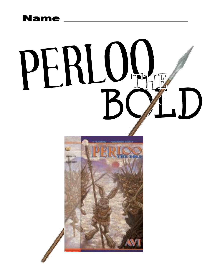# **Name**

# PERLUL  $\begin{pmatrix} 1 \\ 1 \end{pmatrix}$



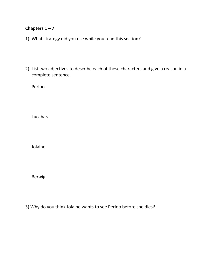## **Chapters**  $1 - 7$

- 1) What strategy did you use while you read this section?
- 2) List two adjectives to describe each of these characters and give a reason in a complete sentence.

Perloo

Lucabara

Jolaine

Berwig

3) Why do you think Jolaine wants to see Perloo before she dies?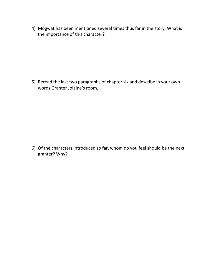4) Mogwat has been mentioned several times thus far in the story. What is the importance of this character?

5) Reread the last two paragraphs of chapter six and describe in your own words Granter Jolaine's room.

6) Of the characters introduced so far, whom do you feel should be the next granter? Why?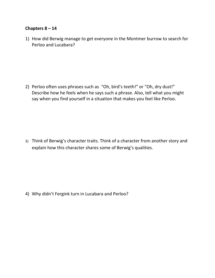### **Chapters 8 – 14**

1) How did Berwig manage to get everyone in the Montmer burrow to search for Perloo and Lucabara?

2) Perloo often uses phrases such as "Oh, bird's teeth!" or "Oh, dry dust!" Describe how he feels when he says such a phrase. Also, tell what you might say when you find yourself in a situation that makes you feel like Perloo.

3) Think of Berwig's character traits. Think of a character from another story and explain how this character shares some of Berwig's qualities.

4) Why didn't Fergink turn in Lucabara and Perloo?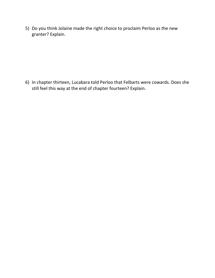5) Do you think Jolaine made the right choice to proclaim Perloo as the new granter? Explain.

6) In chapter thirteen, Lucabara told Perloo that Felbarts were cowards. Does she still feel this way at the end of chapter fourteen? Explain.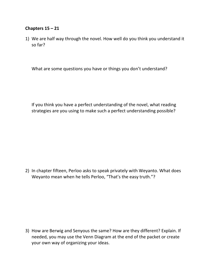### **Chapters 15 – 21**

1) We are half way through the novel. How well do you think you understand it so far?

What are some questions you have or things you don't understand?

If you think you have a perfect understanding of the novel, what reading strategies are you using to make such a perfect understanding possible?

2) In chapter fifteen, Perloo asks to speak privately with Weyanto. What does Weyanto mean when he tells Perloo, "That's the easy truth."?

3) How are Berwig and Senyous the same? How are they different? Explain. If needed, you may use the Venn Diagram at the end of the packet or create your own way of organizing your ideas.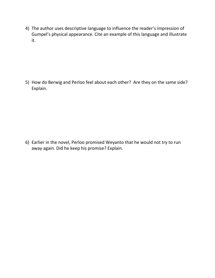4) The author uses descriptive language to influence the reader's impression of Gumpel's physical appearance. Cite an example of this language and illustrate it.

5) How do Berwig and Perloo feel about each other? Are they on the same side? Explain.

6) Earlier in the novel, Perloo promised Weyanto that he would not try to run away again. Did he keep his promise? Explain.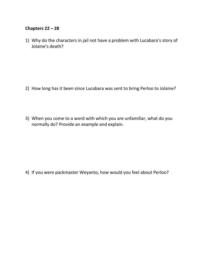### **Chapters 22 – 28**

1) Why do the characters in jail not have a problem with Lucabara's story of Jolaine's death?

- 2) How long has it been since Lucabara was sent to bring Perloo to Jolaine?
- 3) When you come to a word with which you are unfamiliar, what do you normally do? Provide an example and explain.

4) If you were packmaster Weyanto, how would you feel about Perloo?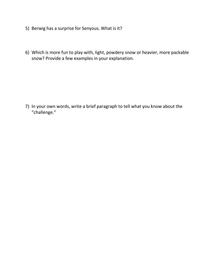- 5) Berwig has a surprise for Senyous. What is it?
- 6) Which is more fun to play with, light, powdery snow or heavier, more packable snow? Provide a few examples in your explanation.

7) In your own words, write a brief paragraph to tell what you know about the "challenge."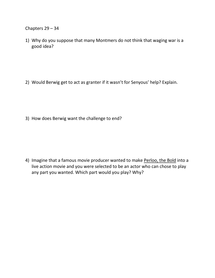Chapters 29 – 34

1) Why do you suppose that many Montmers do not think that waging war is a good idea?

2) Would Berwig get to act as granter if it wasn't for Senyous' help? Explain.

3) How does Berwig want the challenge to end?

4) Imagine that a famous movie producer wanted to make Perloo, the Bold into a live action movie and you were selected to be an actor who can chose to play any part you wanted. Which part would you play? Why?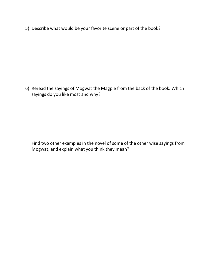5) Describe what would be your favorite scene or part of the book?

6) Reread the sayings of Mogwat the Magpie from the back of the book. Which sayings do you like most and why?

Find two other examples in the novel of some of the other wise sayings from Mogwat, and explain what you think they mean?